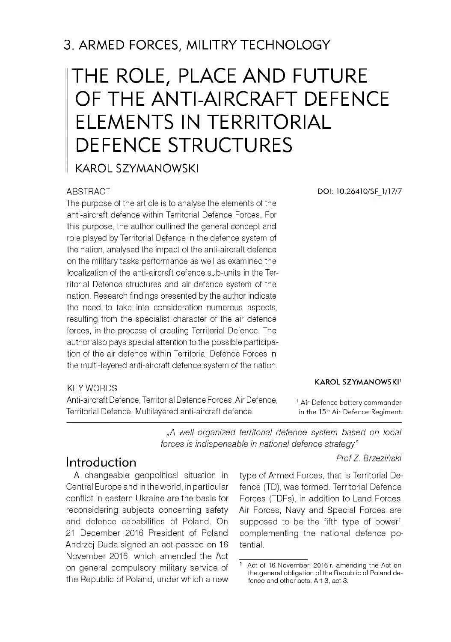# THE ROLE, PLACE AND FUTURE OF THE ANTI-AIRCRAFT DEFENCE ELEMENTS IN TERRITORIAL DEFENCE STRUCTURES

KAROL SZYMANOWSKI

### **ABSTRACT**

The purpose of the article is to analyse the elements of the anti-aircraft defence within Territorial Defence Forces. For this purpose, the author outlined the general concept and role played by Territorial Defence in the defence system of the nation, analysed the impact of the anti-aircraft defence on the military tasks performance as well as examined the localization of the anti-aircraft defence sub-units in the Territorial Defence structures and air defence system of the nation. Research findings presented by the author indicate the need to take into consideration numerous aspects, resulting from the specialist character of the air defence forces, in the process of creating Territorial Defence. The author also pays special attention to the possible participation of the air defence within Territorial Defence Forces in the multi-layered anti-aircraft defence system of the nation.

### KEY WORDS

Anti-aircraft Defence, Territorial Defence Forces, Air Defence, Territorial Defence, Multilayered anti-aircraft defence.

**DOI: 10.26410/SF 1/17/7**

#### **KAROL SZYMANOWSKI**<sup>1</sup>

<sup>1</sup> Air Defence battery commander in the 15<sup>th</sup> Air Defence Regiment.

*"A well organized territorial defence system based on local forces is indispensable in national defence strategy*"

### *Prof Z. Brzeziński*

# Introduction

A changeable geopolitical situation in Central Europe and in the world, in particular conflict in eastern Ukraine are the basis for reconsidering subjects concerning safety and defence capabilities of Poland. On 21 December 2016 President of Poland Andrzej Duda signed an act passed on 16 November 2016, which amended the Act on general compulsory military service of the Republic of Poland, under which a new

type of Armed Forces, that is Territorial Defence (TD), was formed. Territorial Defence Forces (TDFs), in addition to Land Forces, Air Forces, Navy and Special Forces are supposed to be the fifth type of power<sup>1</sup>, complementing the national defence potential.

Act of 16 November, 2016 r. amending the Act on the general obligation of the Republic of Poland defence and other acts. Art 3, act 3.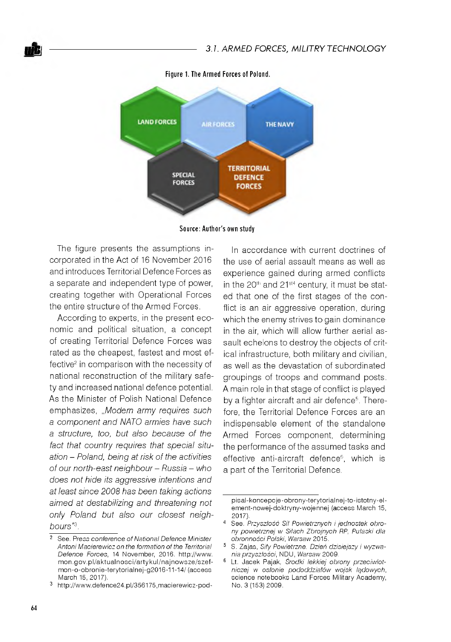

Figure 1. The Armed Forces of Poland.

**S ou rce: A u th o r's own study**

The figure presents the assumptions incorporated in the Act of 16 November 2016 and introduces Territorial Defence Forces as a separate and independent type of power, creating together with Operational Forces the entire structure of the Armed Forces.

According to experts, in the present economic and political situation, a concept of creating Territorial Defence Forces was rated as the cheapest, fastest and most effective<sup>2</sup> in comparison with the necessity of national reconstruction of the military safety and increased national defence potential. As the Minister of Polish National Defence emphasizes, "*Modern army requires such a component and NATO armies have such a structure, too, but also because of the fact that country requires that special situation - Poland, being at risk of the activities of our north-east neighbour - Russia - who does not hide its aggressive intentions and at least since 2008 has been taking actions aimed at destabilizing and threatening not only Poland but also our closest neighbours"3.*

In accordance with current doctrines of the use of aerial assault means as well as experience gained during armed conflicts in the  $20<sup>th</sup>$  and  $21<sup>std</sup>$  century, it must be stated that one of the first stages of the conflict is an air aggressive operation, during which the enemy strives to gain dominance in the air, which will allow further aerial assault echelons to destroy the objects of critical infrastructure, both military and civilian, as well as the devastation of subordinated groupings of troops and command posts. A main role in that stage of conflict is played by a fighter aircraft and air defence<sup>5</sup>. Therefore, the Territorial Defence Forces are an indispensable element of the standalone Armed Forces component, determining the performance of the assumed tasks and effective anti-aircraft defence<sup>6</sup>, which is a part of the Territorial Defence.

<sup>&</sup>lt;sup>2</sup> See. Press conference of National Defence Minister Antoni Macierewicz on the formation of the Territorial Defence Forces, 14 November, 2016. http://www. mon.gov.pl/aktualnosci/artykul/najnowsze/szefmon-o-obronie-terytorialnej-g2016-11-14/ (access March 15, 2017).

<sup>3</sup> [http://www.defence24.pl/356175,m acierewicz-pod-](http://www.defence24.pl/356175,macierewicz-pod-)

p isal-koncepcje-obrony-terytorialnej-to-istotny-elem ent-nowej-doktryny-wojennej (access March 15, 2017).

<sup>4</sup> See. *Przyszłość Sit Powietrznych i jednostek obrony powietrznej w Sitach Zbrojnych RP, Putaski dla obronności Polski, Warsaw* 2015.

<sup>5</sup> S. Zajas, *Sity Powietrzne. Dzień dzisiejszy i wyzwania przyszłości,* NDU, *Warsaw* 2009.

<sup>&</sup>lt;sup>6</sup> Lt. Jacek Pajak, Środki lekkiej obrony przeciwlot*niczej w osłonie pododdziałów wojsk lądowych,* science notebooks Land Forces Military Academy, No. 3 (153) 2009.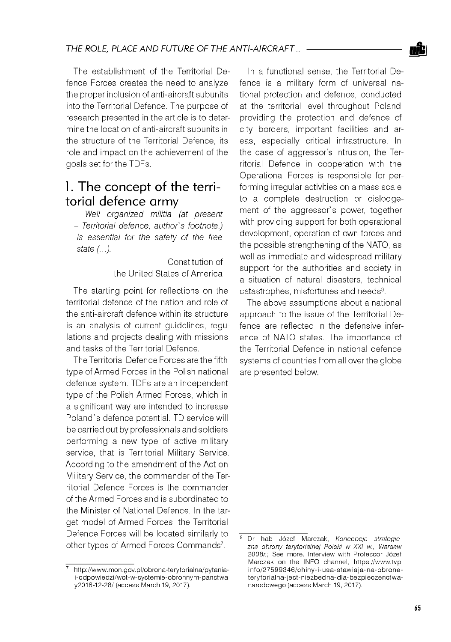The establishment of the Territorial Defence Forces creates the need to analyze the proper inclusion of anti-aircraft subunits into the Territorial Defence. The purpose of research presented in the article is to determine the location of anti-aircraft subunits in the structure of the Territorial Defence, its role and impact on the achievement of the goals set for the TDFs.

# 1. The concept of the territorial defence army

*Well organized militia (at present - Territorial defence, author's footnote.) is essential for the safety of the free state (...).*

> Constitution of the United States of America

The starting point for reflections on the territorial defence of the nation and role of the anti-aircraft defence within its structure is an analysis of current guidelines, regulations and projects dealing with missions and tasks of the Territorial Defence.

The Territorial Defence Forces are the fifth type of Armed Forces in the Polish national defence system. TDFs are an independent type of the Polish Armed Forces, which in a significant way are intended to increase Poland's defence potential. TD service will be carried out by professionals and soldiers performing a new type of active military service, that is Territorial Military Service. According to the amendment of the Act on Military Service, the commander of the Territorial Defence Forces is the commander of the Armed Forces and is subordinated to the Minister of National Defence. In the target model of Armed Forces, the Territorial Defence Forces will be located similarly to other types of Armed Forces Commands<sup>7</sup>.

In a functional sense, the Territorial Defence is a military form of universal national protection and defence, conducted at the territorial level throughout Poland, providing the protection and defence of city borders, important facilities and areas, especially critical infrastructure. In the case of aggressor's intrusion, the Territorial Defence in cooperation with the Operational Forces is responsible for performing irregular activities on a mass scale to a complete destruction or dislodgement of the aggressor's power, together with providing support for both operational development, operation of own forces and the possible strengthening of the NATO, as well as immediate and widespread military support for the authorities and society in a situation of natural disasters, technical catastrophes, misfortunes and needs<sup>8</sup>.

The above assumptions about a national approach to the issue of the Territorial Defence are reflected in the defensive inference of NATO states. The importance of the Territorial Defence in national defence systems of countries from all over the globe are presented below.



http://www.mon.gov.pl/obrona-terytorialna/pytaniai-odpowiedzi/wot-w-systemie-obronnym-panstwa y2016-12-28/ (access March 19, 2017).

<sup>8</sup> Dr hab Józef Marczak, *Koncepcja strategiczna obrony terytorialnej Polski w XXI w., Warsaw 2008r.;* See more. Interview with Professor Józef Marczak on the INFO channel, https://www.tvp. info/27599346/chiny-i-usa-stawiaja-na-obroneterytorialna-jest-niezbedna-dla-bezpieczenstwanarodowego (access March 19, 2017).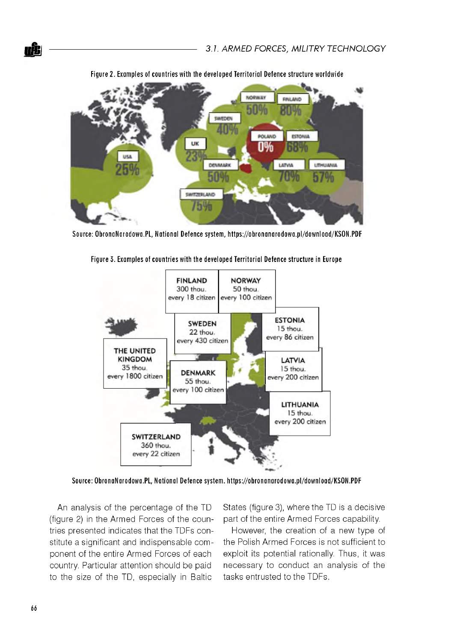

Figure 2. Examples of countries with the developed Territorial Defence structure worldwide

Source: ObronaNarodowa.PL, National Defence system, https://obronanarodowa.pl/download/KSON.PDF



Figure 3. Examples of countries with the developed Territorial Defence structure in Europe

Source: ObronaNarodowa.PL, National Defence system. https://obronanarodowa.pl/download/KSON.PDF

An analysis of the percentage of the TD (figure 2) in the Armed Forces of the countries presented indicates that the TDFs constitute a significant and indispensable component of the entire Armed Forces of each country. Particular attention should be paid to the size of the TD, especially in Baltic

States (figure 3), where the TD is a decisive part of the entire Armed Forces capability.

However, the creation of a new type of the Polish Armed Forces is not sufficient to exploit its potential rationally. Thus, it was necessary to conduct an analysis of the tasks entrusted to the TDFs.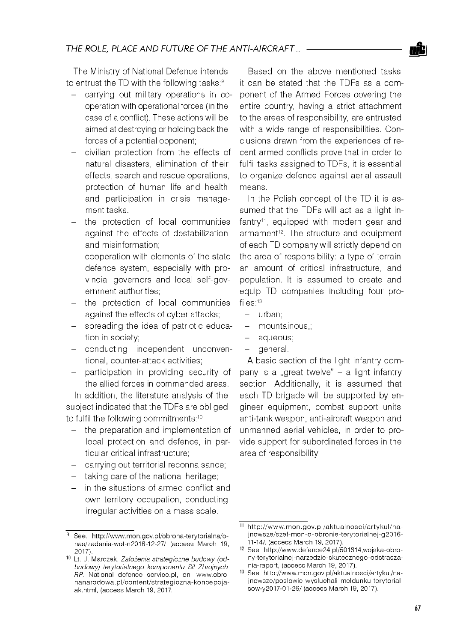

The Ministry of National Defence intends to entrust the TD with the following tasks:<sup>9</sup>

- carrying out military operations in cooperation with operational forces (in the case of a conflict). These actions will be aimed at destroying or holding back the forces of a potential opponent;
- civilian protection from the effects of natural disasters, elimination of their effects, search and rescue operations, protection of human life and health and participation in crisis management tasks.
- the protection of local communities against the effects of destabilization and misinformation;
- cooperation with elements of the state defence system, especially with provincial governors and local self-government authorities;
- the protection of local communities against the effects of cyber attacks;
- spreading the idea of patriotic education in society;
- conducting independent unconventional, counter-attack activities;
- participation in providing security of the allied forces in commanded areas.

In addition, the literature analysis of the subject indicated that the TDFs are obliged to fulfil the following commitments:10

- the preparation and implementation of local protection and defence, in particular critical infrastructure;
- carrying out territorial reconnaisance;
- taking care of the national heritage;
- in the situations of armed conflict and own territory occupation, conducting irregular activities on a mass scale.

Based on the above mentioned tasks it can be stated that the TDFs as a component of the Armed Forces covering the entire country, having a strict attachment to the areas of responsibility, are entrusted with a wide range of responsibilities. Conclusions drawn from the experiences of recent armed conflicts prove that in order to fulfil tasks assigned to TDFs, it is essential to organize defence against aerial assault means.

In the Polish concept of the TD it is assumed that the TDFs will act as a light infantry<sup>11</sup>, equipped with modern gear and armament<sup>12</sup>. The structure and equipment of each TD company will strictly depend on the area of responsibility: a type of terrain, an amount of critical infrastructure, and population. It is assumed to create and equip TD companies including four profiles:13

- urban;
- mountainous,;
- aqueous;
- general.

A basic section of the light infantry company is a "great twelve" - a light infantry section. Additionally, it is assumed that each TD brigade will be supported by engineer equipment, combat support units, anti-tank weapon, anti-aircraft weapon and unmanned aerial vehicles, in order to provide support for subordinated forces in the area of responsibility.

<sup>9</sup> See. http://www.mon.gov.pl/obrona-terytorialna/onas/zadania-wot-n2016-12-27/ (access March 19, 2017).

<sup>10</sup> Lt. J. Marczak, *Założenia strategiczne budowy (odbudowy) terytorialnego kom ponentu Sit Zbrojnych RP.* National defence service.pl, on: www.obron an a rodowa.pl/content/strategiczna-koncepcjaak.html, (access March 19, 2017.

<sup>11</sup> http://www.mon.gov.pl/aktualnosci/artykul/najnowsze/szef-mon-o-obronie-terytorialnej-g2016-11-14/, (access March 19, 2017).

<sup>12</sup> See: [http://www.defence24.pl/501614,wojska-obro](http://www.defence24.pl/501614,wojska-obro-)ny-terytorialnej-narzedzie-skutecznego-odstraszania-raport, (access March 19, 2017).

<sup>13</sup> See: http://www.mon.gov.pl/aktualnosci/artykul/najnowsze/poslowie-wysluchali-meldunku-terytorialsow-y2017-01-26/ (access March 19, 2017).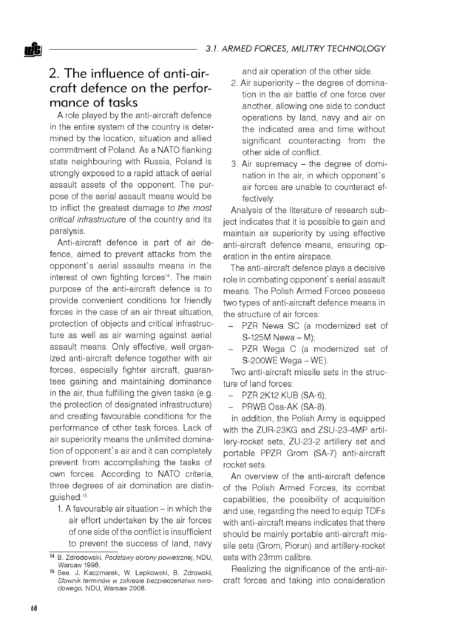# 2. The influence of anti-aircraft defence on the performance of tasks

A role played by the anti-aircraft defence in the entire system of the country is determined by the location, situation and allied commitment of Poland. As a NATO flanking state neighbouring with Russia, Poland is strongly exposed to a rapid attack of aerial assault assets of the opponent. The purpose of the aerial assault means would be to inflict the greatest damage to *the most critical infrastructure* of the country and Its paralysis.

Anti-aircraft defence is part of air defence, aimed to prevent attacks from the opponent's aerial assaults means in the interest of own fighting forces<sup>14</sup>. The main purpose of the anti-aircraft defence is to provide convenient conditions for friendly forces in the case of an air threat situation, protection of objects and critical infrastructure as well as air warning against aerial assault means. Only effective, well organized anti-aircraft defence together with air forces, especially fighter aircraft, guarantees gaining and maintaining dominance in the air, thus fulfilling the given tasks (e.g. the protection of designated infrastructure) and creating favourable conditions for the performance of other task forces. Lack of air superiority means the unlimited domination of opponent's air and it can completely prevent from accomplishing the tasks of own forces. According to NATO criteria, three degrees of air domination are distinguished:15

1. A favourable air situation  $-$  in which the air effort undertaken by the air forces of one side of the conflict is insufficient to prevent the success of land, navy and air operation of the other side.

- 2. Air superiority the degree of domination in the air battle of one force over another, allowing one side to conduct operations by land, navy and air on the indicated area and time without significant counteracting from the other side of conflict.
- 3. Air supremacy the degree of domination in the air, in which opponent's air forces are unable to counteract effectively.

Analysis of the literature of research subject indicates that it is possible to gain and maintain air superiority by using effective anti-aircraft defence means, ensuring operation in the entire airspace.

The anti-aircraft defence plays a decisive role in combating opponent's aerial assault means. The Polish Armed Forces possess two types of anti-aircraft defence means in the structure of air forces:

- PZR Newa SC (a modernized set of  $S-125M$  Newa  $-M$ );
- PZR Wega C (a modernized set of S-200WE Wega - WE).

Two anti-aircraft missile sets in the structure of land forces:

- PZR 2K12 KUB (SA-6);
- PRWB Osa-AK (SA-8).

in addition, the Polish Army is equipped with the ZUR-23KG and ZSU-23-4MP artillery- rocket sets, ZU-23-2 artillery set and portable PPZR Grom (SA-7) anti-aircraft rocket sets.

An overview of the anti-aircraft defence of the Polish Armed Forces, its combat capabilities, the possibility of acquisition and use, regarding the need to equip TDFs with anti-aircraft means indicates that there should be mainly portable anti-aircraft missile sets (Grom, Piorun) and artillery-rocket sets with 23mm calibre.

Realizing the significance of the anti-aircraft forces and taking into consideration

<sup>14</sup> B. Zdrodowski, *Podstawy obrony powietrznej,* NDU, Warsaw 1998.

<sup>15</sup> See. J. Kaczmarek, W. Lepkowski, B. Zdrowski, *Słownik terminów w zakresie bezpieczeństwa naro*dowego, NDU, Warsaw 2008.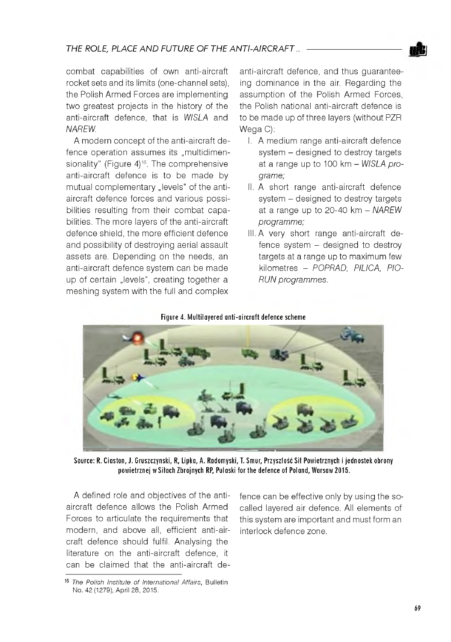

combat capabilities of own anti-aircraft rocket sets and its limits (one-channel sets), the Polish Armed Forces are implementing two greatest projects in the history of the anti-aircraft defence, that is *WISLA* and *NAREW.*

A modern concept of the anti-aircraft defence operation assumes its "multidimensionality" (Figure  $4$ )<sup>16</sup>. The comprehensive anti-aircraft defence is to be made by mutual complementary "levels" of the antiaircraft defence forces and various possibilities resulting from their combat capabilities. The more layers of the anti-aircraft defence shield, the more efficient defence and possibility of destroying aerial assault assets are. Depending on the needs, an anti-aircraft defence system can be made up of certain "levels", creating together a meshing system with the full and complex

anti-aircraft defence, and thus guaranteeing dominance in the air. Regarding the assumption of the Polish Armed Forces the Polish national anti-aircraft defence is to be made up of three layers (without PZR Wega C):

- I. A medium range anti-aircraft defence svstem - designed to destroy targets at a range up to 100 km - *WISLA programe;*
- II. A short range anti-aircraft defence system - designed to destroy targets at a range up to 20-40 km - *NAREW programme;*
- III. A very short range anti-aircraft defence system - designed to destroy targets at a range up to maximum few kilometres - *POPRAD, PILICA, PIO-RUN programmes.*

#### Figure 4. Multilavered anti-aircraft defence scheme



Source: R. Ciaston, J. Gruszczynski, R, Lipka, A. Radomyski, T. Smur, Przyszłość Sił Powietrznych i jednostek obrony powietrznej w Siłach Zbrojnych RP, Pulaski for the defence of Poland, Warsaw 2015.

A defined role and objectives of the antiaircraft defence allows the Polish Armed Forces to articulate the requirements that modern, and above all, efficient anti-aircraft defence should fulfil. Analysing the literature on the anti-aircraft defence, it can be claimed that the anti-aircraft defence can be effective only by using the socalled layered air defence. All elements of this system are important and must form an interlock defence zone.

<sup>&</sup>lt;sup>16</sup> The Polish Institute of International Affairs, Bulletin No. 42 (1279), April 28, 2015.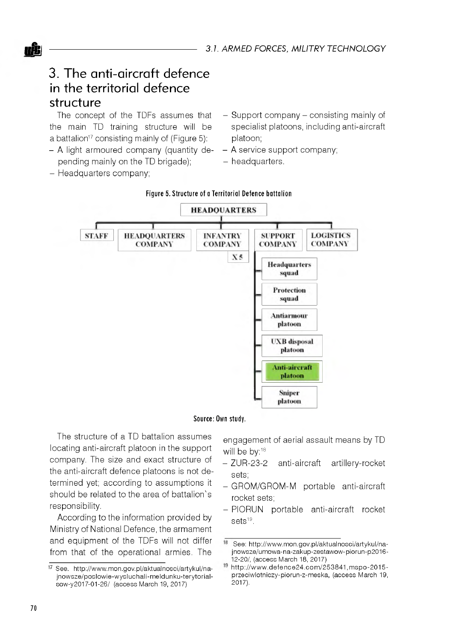

The concept of the TDFs assumes that the main TD training structure will be a battalion<sup>17</sup> consisting mainly of (Figure 5):

- A light armoured company (quantity depending mainly on the TD brigade);
	-
- Headquarters company;
- Support company consisting mainly of specialist platoons, including anti-aircraft platoon;
- A service support company;
- headquarters.



#### **Figure 5. Structure of a Territorial Defence battalion**

Source: Own study.

The structure of a TD battalion assumes locating anti-aircraft platoon in the support company. The size and exact structure of the anti-aircraft defence platoons is not determined yet; according to assumptions it should be related to the area of battalion's responsibility.

According to the information provided by Ministry of National Defence, the armament and equipment of the TDFs will not differ from that of the operational armies. The

engagement of aerial assault means by TD will be by:<sup>18</sup>

- ZUR-23-2 anti-aircraft artillery-rocket sets;
- GROM/GROM-M portable anti-aircraft rocket sets;
- PIORUN portable anti-aircraft rocket sets<sup>19</sup>.

<sup>17</sup> See. http://www.mon.gov.pl/aktualnosci/artykul/najnow sze/poslow ie-w ysluchali-m eldunku-terytorialsow-y2017-01-26/ (access March 19, 2017)

<sup>18</sup> See: http://www.mon.gov.pl/aktualnosci/artykul/najnowsze/umowa-na-zakup-zestawow-piorun-p2016-12-20/, (access March 18, 2017)

<sup>19</sup> http://www.defence24.com/253841,mspo-2015przeciwlotniczy-piorun-z-meska, (access March 19, 2017).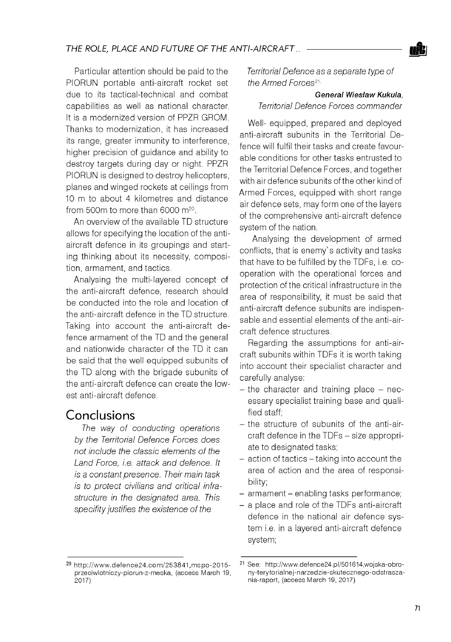Particular attention should be paid to the PIORUN portable anti-aircraft rocket set due to its tactical-technical and combat capabilities as well as national character. It is a modernized version of PPZR GROM. Thanks to modernization, it has increased its range, greater immunity to interference, higher precision of guidance and ability to destroy targets during day or night. PPZR PIORUN is designed to destroy helicopters, planes and winged rockets at ceilings from 10 m to about 4 kilometres and distance from 500m to more than 6000 m20.

An overview of the available TD structure allows for specifying the location of the antiaircraft defence in its groupings and starting thinking about its necessity, composition, armament, and tactics.

Analysing the multi-layered concept of the anti-aircraft defence, research should be conducted into the role and location of the anti-aircraft defence in the TD structure. Taking into account the anti-aircraft defence armament of the TD and the general and nationwide character of the TD it can be said that the well equipped subunits of the TD along with the brigade subunits of the anti-aircraft defence can create the lowest anti-aircraft defence.

# Conclusions

*The way of conducting operations by the Territorial Defence Forces does not include the classic elements of the Land Force, i.e. attack and defence. It is a constant presence. Their main task is to protect civilians and critical infrastructure in the designated area. This specifity justifies the existence of the*

*Territorial Defence as a separate type of the Armed Forces*21

*General Wiesfaw Kukula, Territorial Defence Forces commander*

Well- equipped, prepared and deployed anti-aircraft subunits in the Territorial Defence will fulfil their tasks and create favourable conditions for other tasks entrusted to the Territorial Defence Forces, and together with air defence subunits of the other kind of Armed Forces, equipped with short range air defence sets, may form one of the layers of the comprehensive anti-aircraft defence system of the nation.

Analysing the development of armed conflicts, that is enemy's activity and tasks that have to be fulfilled by the TDFs, i.e. cooperation with the operational forces and protection of the critical infrastructure in the area of responsibility, it must be said that anti-aircraft defence subunits are indispensable and essential elements of the anti-aircraft defence structures.

Regarding the assumptions for anti-aircraft subunits within TDFs it is worth taking into account their specialist character and carefully analyse:

- $-$  the character and training place  $-$  necessary specialist training base and qualified staff;
- the structure of subunits of the anti-aircraft defence in the TDFs - size appropriate to designated tasks;
- action of tactics taking into account the area of action and the area of responsibility;
- armament enabling tasks performance;
- a place and role of the TDFs anti-aircraft defence in the national air defence system i.e. in a layered anti-aircraft defence system;

 $20$  http://www.defence24.com/253841,mspo-2015przeciwlotniczy-piorun-z-meska, (access March 19, 2017)

<sup>21</sup> See: [http://www.defence24.pl/501614,wojska-obro](http://www.defence24.pl/501614,wojska-obro-)ny-terytorialnej-narzedzie-skutecznego-odstraszania-raport, (access March 19, 2017)